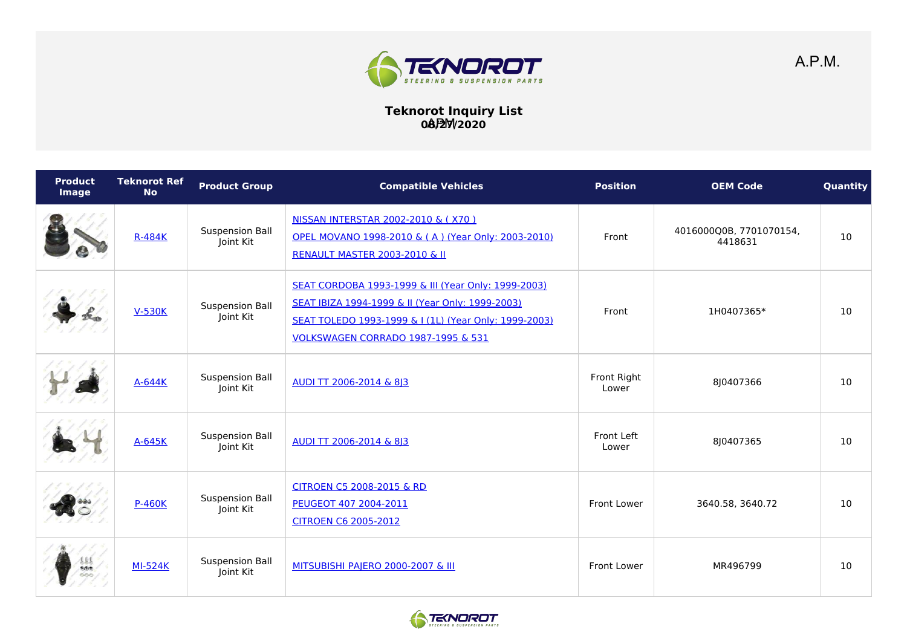

**Teknorot Inquiry List 08/27/2020** APM

| <b>Product</b><br>Image | <b>Teknorot Ref</b><br><b>No</b> | <b>Product Group</b>                | <b>Compatible Vehicles</b>                                                                                                                                                                                        | <b>Position</b>      | <b>OEM Code</b>                    | Quantity |
|-------------------------|----------------------------------|-------------------------------------|-------------------------------------------------------------------------------------------------------------------------------------------------------------------------------------------------------------------|----------------------|------------------------------------|----------|
|                         | <b>R-484K</b>                    | <b>Suspension Ball</b><br>Joint Kit | NISSAN INTERSTAR 2002-2010 & (X70)<br>OPEL MOVANO 1998-2010 & (A) (Year Only: 2003-2010)<br><b>RENAULT MASTER 2003-2010 &amp; II</b>                                                                              | Front                | 4016000Q0B, 7701070154,<br>4418631 | 10       |
|                         | <b>V-530K</b>                    | <b>Suspension Ball</b><br>Joint Kit | SEAT CORDOBA 1993-1999 & III (Year Only: 1999-2003)<br>SEAT IBIZA 1994-1999 & II (Year Only: 1999-2003)<br>SEAT TOLEDO 1993-1999 & I (1L) (Year Only: 1999-2003)<br><b>VOLKSWAGEN CORRADO 1987-1995 &amp; 531</b> | Front                | 1H0407365*                         | 10       |
|                         | A-644K                           | <b>Suspension Ball</b><br>Joint Kit | AUDI TT 2006-2014 & 8 3                                                                                                                                                                                           | Front Right<br>Lower | 8J0407366                          | 10       |
|                         | $A-645K$                         | <b>Suspension Ball</b><br>Joint Kit | AUDI TT 2006-2014 & 813                                                                                                                                                                                           | Front Left<br>Lower  | 810407365                          | 10       |
|                         | <b>P-460K</b>                    | <b>Suspension Ball</b><br>Joint Kit | CITROEN C5 2008-2015 & RD<br>PEUGEOT 407 2004-2011<br><b>CITROEN C6 2005-2012</b>                                                                                                                                 | <b>Front Lower</b>   | 3640.58, 3640.72                   | 10       |
| ш<br>制剂学<br>೦೦೦         | <b>MI-524K</b>                   | <b>Suspension Ball</b><br>Joint Kit | MITSUBISHI PAJERO 2000-2007 & III                                                                                                                                                                                 | <b>Front Lower</b>   | MR496799                           | 10       |



A.P.M.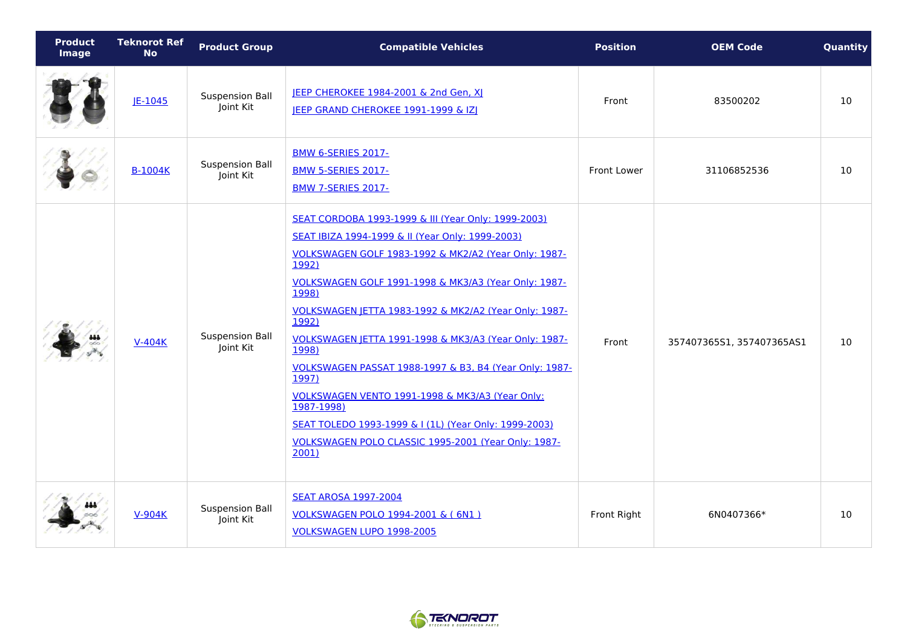| <b>Product</b><br>Image | <b>Teknorot Ref</b><br><b>No</b> | <b>Product Group</b>                | <b>Compatible Vehicles</b>                                                                                                                                                                                                                                                                                                                                                                                                                                                                                                                                                                                                                           | <b>Position</b>    | <b>OEM Code</b>           | Quantity |
|-------------------------|----------------------------------|-------------------------------------|------------------------------------------------------------------------------------------------------------------------------------------------------------------------------------------------------------------------------------------------------------------------------------------------------------------------------------------------------------------------------------------------------------------------------------------------------------------------------------------------------------------------------------------------------------------------------------------------------------------------------------------------------|--------------------|---------------------------|----------|
|                         | $IE-1045$                        | <b>Suspension Ball</b><br>Joint Kit | JEEP CHEROKEE 1984-2001 & 2nd Gen, XJ<br>JEEP GRAND CHEROKEE 1991-1999 & IZJ                                                                                                                                                                                                                                                                                                                                                                                                                                                                                                                                                                         | Front              | 83500202                  | 10       |
|                         | <b>B-1004K</b>                   | <b>Suspension Ball</b><br>Joint Kit | <b>BMW 6-SERIES 2017-</b><br><b>BMW 5-SERIES 2017-</b><br><b>BMW 7-SERIES 2017-</b>                                                                                                                                                                                                                                                                                                                                                                                                                                                                                                                                                                  | <b>Front Lower</b> | 31106852536               | 10       |
|                         | $V-404K$                         | <b>Suspension Ball</b><br>Joint Kit | SEAT CORDOBA 1993-1999 & III (Year Only: 1999-2003)<br>SEAT IBIZA 1994-1999 & II (Year Only: 1999-2003)<br>VOLKSWAGEN GOLF 1983-1992 & MK2/A2 (Year Only: 1987-<br>1992)<br>VOLKSWAGEN GOLF 1991-1998 & MK3/A3 (Year Only: 1987-<br>1998)<br>VOLKSWAGEN JETTA 1983-1992 & MK2/A2 (Year Only: 1987-<br>1992)<br><b>VOLKSWAGEN JETTA 1991-1998 &amp; MK3/A3 (Year Only: 1987-</b><br>1998)<br>VOLKSWAGEN PASSAT 1988-1997 & B3, B4 (Year Only: 1987-<br>1997)<br>VOLKSWAGEN VENTO 1991-1998 & MK3/A3 (Year Only:<br>1987-1998)<br>SEAT TOLEDO 1993-1999 & I (1L) (Year Only: 1999-2003)<br>VOLKSWAGEN POLO CLASSIC 1995-2001 (Year Only: 1987-<br>2001 | Front              | 357407365S1, 357407365AS1 | 10       |
|                         | $V-904K$                         | <b>Suspension Ball</b><br>Joint Kit | <b>SEAT AROSA 1997-2004</b><br>VOLKSWAGEN POLO 1994-2001 & (6N1)<br>VOLKSWAGEN LUPO 1998-2005                                                                                                                                                                                                                                                                                                                                                                                                                                                                                                                                                        | Front Right        | 6N0407366*                | 10       |